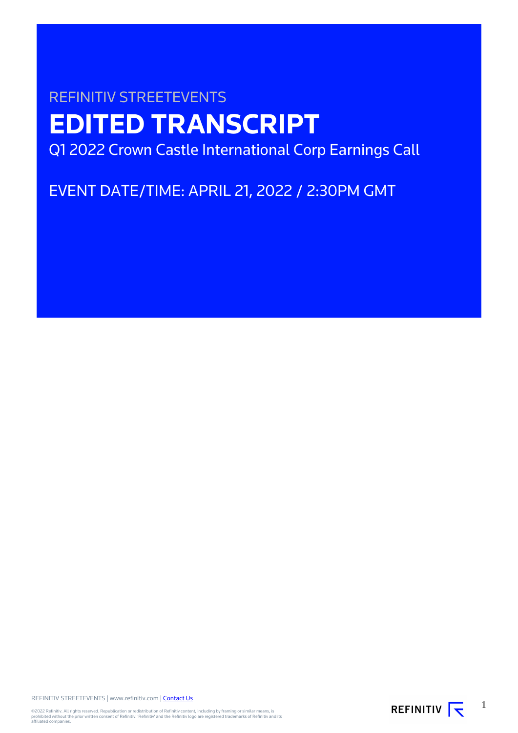# REFINITIV STREETEVENTS **EDITED TRANSCRIPT** Q1 2022 Crown Castle International Corp Earnings Call

EVENT DATE/TIME: APRIL 21, 2022 / 2:30PM GMT

REFINITIV STREETEVENTS | www.refinitiv.com | [Contact Us](https://www.refinitiv.com/en/contact-us)

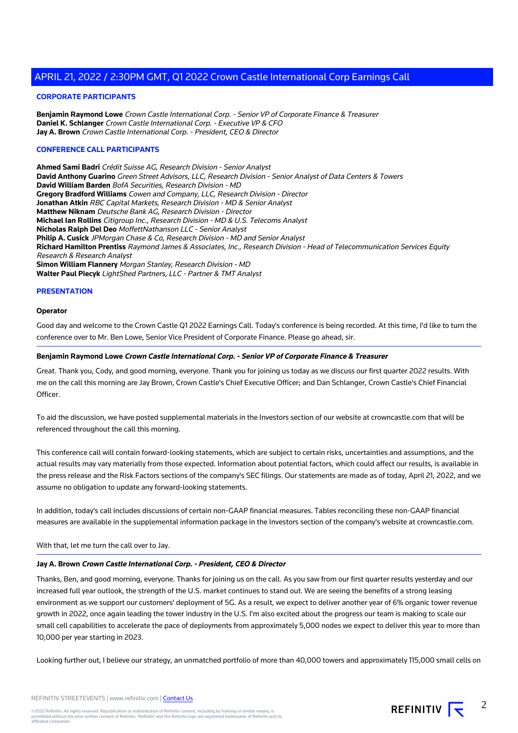#### **CORPORATE PARTICIPANTS**

**Benjamin Raymond Lowe** Crown Castle International Corp. - Senior VP of Corporate Finance & Treasurer **Daniel K. Schlanger** Crown Castle International Corp. - Executive VP & CFO **Jay A. Brown** Crown Castle International Corp. - President, CEO & Director

#### **CONFERENCE CALL PARTICIPANTS**

**Ahmed Sami Badri** Crédit Suisse AG, Research Division - Senior Analyst **David Anthony Guarino** Green Street Advisors, LLC, Research Division - Senior Analyst of Data Centers & Towers **David William Barden** BofA Securities, Research Division - MD **Gregory Bradford Williams** Cowen and Company, LLC, Research Division - Director **Jonathan Atkin** RBC Capital Markets, Research Division - MD & Senior Analyst **Matthew Niknam** Deutsche Bank AG, Research Division - Director **Michael Ian Rollins** Citigroup Inc., Research Division - MD & U.S. Telecoms Analyst **Nicholas Ralph Del Deo** MoffettNathanson LLC - Senior Analyst **Philip A. Cusick** JPMorgan Chase & Co, Research Division - MD and Senior Analyst **Richard Hamilton Prentiss** Raymond James & Associates, Inc., Research Division - Head of Telecommunication Services Equity Research & Research Analyst **Simon William Flannery** Morgan Stanley, Research Division - MD **Walter Paul Piecyk** LightShed Partners, LLC - Partner & TMT Analyst

#### **PRESENTATION**

#### **Operator**

Good day and welcome to the Crown Castle Q1 2022 Earnings Call. Today's conference is being recorded. At this time, I'd like to turn the conference over to Mr. Ben Lowe, Senior Vice President of Corporate Finance. Please go ahead, sir.

#### **Benjamin Raymond Lowe Crown Castle International Corp. - Senior VP of Corporate Finance & Treasurer**

Great. Thank you, Cody, and good morning, everyone. Thank you for joining us today as we discuss our first quarter 2022 results. With me on the call this morning are Jay Brown, Crown Castle's Chief Executive Officer; and Dan Schlanger, Crown Castle's Chief Financial **Officer** 

To aid the discussion, we have posted supplemental materials in the Investors section of our website at crowncastle.com that will be referenced throughout the call this morning.

This conference call will contain forward-looking statements, which are subject to certain risks, uncertainties and assumptions, and the actual results may vary materially from those expected. Information about potential factors, which could affect our results, is available in the press release and the Risk Factors sections of the company's SEC filings. Our statements are made as of today, April 21, 2022, and we assume no obligation to update any forward-looking statements.

In addition, today's call includes discussions of certain non-GAAP financial measures. Tables reconciling these non-GAAP financial measures are available in the supplemental information package in the Investors section of the company's website at crowncastle.com.

#### With that, let me turn the call over to Jay.

#### **Jay A. Brown Crown Castle International Corp. - President, CEO & Director**

Thanks, Ben, and good morning, everyone. Thanks for joining us on the call. As you saw from our first quarter results yesterday and our increased full year outlook, the strength of the U.S. market continues to stand out. We are seeing the benefits of a strong leasing environment as we support our customers' deployment of 5G. As a result, we expect to deliver another year of 6% organic tower revenue growth in 2022, once again leading the tower industry in the U.S. I'm also excited about the progress our team is making to scale our small cell capabilities to accelerate the pace of deployments from approximately 5,000 nodes we expect to deliver this year to more than 10,000 per year starting in 2023.

Looking further out, I believe our strategy, an unmatched portfolio of more than 40,000 towers and approximately 115,000 small cells on

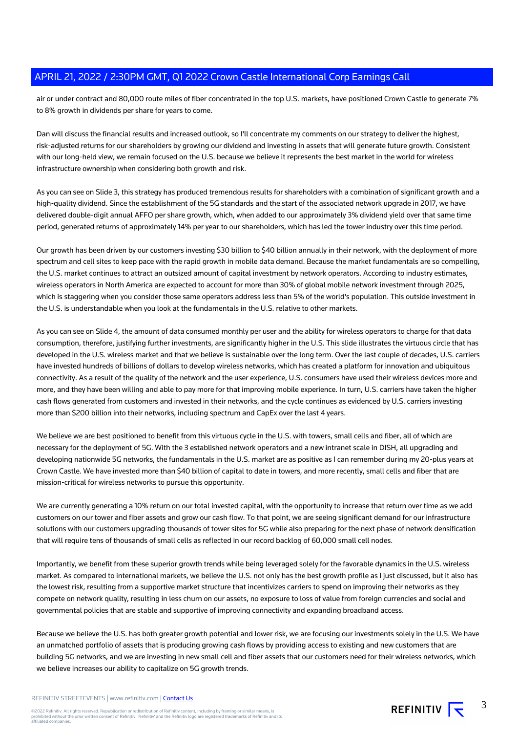air or under contract and 80,000 route miles of fiber concentrated in the top U.S. markets, have positioned Crown Castle to generate 7% to 8% growth in dividends per share for years to come.

Dan will discuss the financial results and increased outlook, so I'll concentrate my comments on our strategy to deliver the highest, risk-adjusted returns for our shareholders by growing our dividend and investing in assets that will generate future growth. Consistent with our long-held view, we remain focused on the U.S. because we believe it represents the best market in the world for wireless infrastructure ownership when considering both growth and risk.

As you can see on Slide 3, this strategy has produced tremendous results for shareholders with a combination of significant growth and a high-quality dividend. Since the establishment of the 5G standards and the start of the associated network upgrade in 2017, we have delivered double-digit annual AFFO per share growth, which, when added to our approximately 3% dividend yield over that same time period, generated returns of approximately 14% per year to our shareholders, which has led the tower industry over this time period.

Our growth has been driven by our customers investing \$30 billion to \$40 billion annually in their network, with the deployment of more spectrum and cell sites to keep pace with the rapid growth in mobile data demand. Because the market fundamentals are so compelling, the U.S. market continues to attract an outsized amount of capital investment by network operators. According to industry estimates, wireless operators in North America are expected to account for more than 30% of global mobile network investment through 2025, which is staggering when you consider those same operators address less than 5% of the world's population. This outside investment in the U.S. is understandable when you look at the fundamentals in the U.S. relative to other markets.

As you can see on Slide 4, the amount of data consumed monthly per user and the ability for wireless operators to charge for that data consumption, therefore, justifying further investments, are significantly higher in the U.S. This slide illustrates the virtuous circle that has developed in the U.S. wireless market and that we believe is sustainable over the long term. Over the last couple of decades, U.S. carriers have invested hundreds of billions of dollars to develop wireless networks, which has created a platform for innovation and ubiquitous connectivity. As a result of the quality of the network and the user experience, U.S. consumers have used their wireless devices more and more, and they have been willing and able to pay more for that improving mobile experience. In turn, U.S. carriers have taken the higher cash flows generated from customers and invested in their networks, and the cycle continues as evidenced by U.S. carriers investing more than \$200 billion into their networks, including spectrum and CapEx over the last 4 years.

We believe we are best positioned to benefit from this virtuous cycle in the U.S. with towers, small cells and fiber, all of which are necessary for the deployment of 5G. With the 3 established network operators and a new intranet scale in DISH, all upgrading and developing nationwide 5G networks, the fundamentals in the U.S. market are as positive as I can remember during my 20-plus years at Crown Castle. We have invested more than \$40 billion of capital to date in towers, and more recently, small cells and fiber that are mission-critical for wireless networks to pursue this opportunity.

We are currently generating a 10% return on our total invested capital, with the opportunity to increase that return over time as we add customers on our tower and fiber assets and grow our cash flow. To that point, we are seeing significant demand for our infrastructure solutions with our customers upgrading thousands of tower sites for 5G while also preparing for the next phase of network densification that will require tens of thousands of small cells as reflected in our record backlog of 60,000 small cell nodes.

Importantly, we benefit from these superior growth trends while being leveraged solely for the favorable dynamics in the U.S. wireless market. As compared to international markets, we believe the U.S. not only has the best growth profile as I just discussed, but it also has the lowest risk, resulting from a supportive market structure that incentivizes carriers to spend on improving their networks as they compete on network quality, resulting in less churn on our assets, no exposure to loss of value from foreign currencies and social and governmental policies that are stable and supportive of improving connectivity and expanding broadband access.

Because we believe the U.S. has both greater growth potential and lower risk, we are focusing our investments solely in the U.S. We have an unmatched portfolio of assets that is producing growing cash flows by providing access to existing and new customers that are building 5G networks, and we are investing in new small cell and fiber assets that our customers need for their wireless networks, which we believe increases our ability to capitalize on 5G growth trends.

REFINITIV STREETEVENTS | www.refinitiv.com | [Contact Us](https://www.refinitiv.com/en/contact-us)

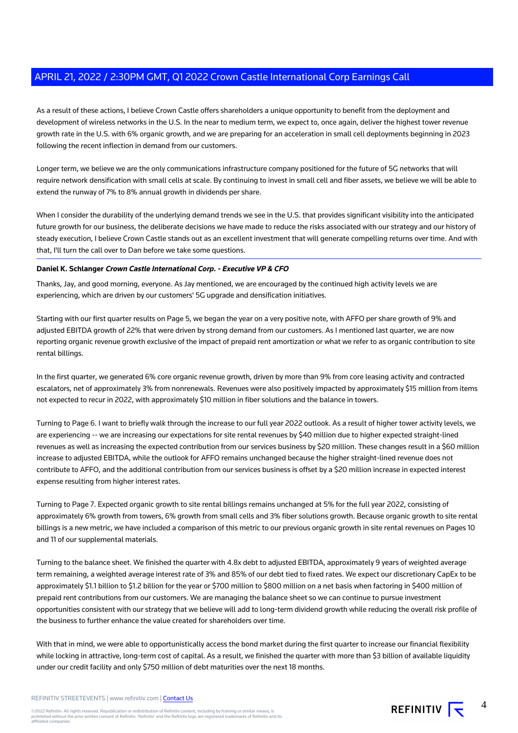As a result of these actions, I believe Crown Castle offers shareholders a unique opportunity to benefit from the deployment and development of wireless networks in the U.S. In the near to medium term, we expect to, once again, deliver the highest tower revenue growth rate in the U.S. with 6% organic growth, and we are preparing for an acceleration in small cell deployments beginning in 2023 following the recent inflection in demand from our customers.

Longer term, we believe we are the only communications infrastructure company positioned for the future of 5G networks that will require network densification with small cells at scale. By continuing to invest in small cell and fiber assets, we believe we will be able to extend the runway of 7% to 8% annual growth in dividends per share.

When I consider the durability of the underlying demand trends we see in the U.S. that provides significant visibility into the anticipated future growth for our business, the deliberate decisions we have made to reduce the risks associated with our strategy and our history of steady execution, I believe Crown Castle stands out as an excellent investment that will generate compelling returns over time. And with that, I'll turn the call over to Dan before we take some questions.

#### **Daniel K. Schlanger Crown Castle International Corp. - Executive VP & CFO**

Thanks, Jay, and good morning, everyone. As Jay mentioned, we are encouraged by the continued high activity levels we are experiencing, which are driven by our customers' 5G upgrade and densification initiatives.

Starting with our first quarter results on Page 5, we began the year on a very positive note, with AFFO per share growth of 9% and adjusted EBITDA growth of 22% that were driven by strong demand from our customers. As I mentioned last quarter, we are now reporting organic revenue growth exclusive of the impact of prepaid rent amortization or what we refer to as organic contribution to site rental billings.

In the first quarter, we generated 6% core organic revenue growth, driven by more than 9% from core leasing activity and contracted escalators, net of approximately 3% from nonrenewals. Revenues were also positively impacted by approximately \$15 million from items not expected to recur in 2022, with approximately \$10 million in fiber solutions and the balance in towers.

Turning to Page 6. I want to briefly walk through the increase to our full year 2022 outlook. As a result of higher tower activity levels, we are experiencing -- we are increasing our expectations for site rental revenues by \$40 million due to higher expected straight-lined revenues as well as increasing the expected contribution from our services business by \$20 million. These changes result in a \$60 million increase to adjusted EBITDA, while the outlook for AFFO remains unchanged because the higher straight-lined revenue does not contribute to AFFO, and the additional contribution from our services business is offset by a \$20 million increase in expected interest expense resulting from higher interest rates.

Turning to Page 7. Expected organic growth to site rental billings remains unchanged at 5% for the full year 2022, consisting of approximately 6% growth from towers, 6% growth from small cells and 3% fiber solutions growth. Because organic growth to site rental billings is a new metric, we have included a comparison of this metric to our previous organic growth in site rental revenues on Pages 10 and 11 of our supplemental materials.

Turning to the balance sheet. We finished the quarter with 4.8x debt to adjusted EBITDA, approximately 9 years of weighted average term remaining, a weighted average interest rate of 3% and 85% of our debt tied to fixed rates. We expect our discretionary CapEx to be approximately \$1.1 billion to \$1.2 billion for the year or \$700 million to \$800 million on a net basis when factoring in \$400 million of prepaid rent contributions from our customers. We are managing the balance sheet so we can continue to pursue investment opportunities consistent with our strategy that we believe will add to long-term dividend growth while reducing the overall risk profile of the business to further enhance the value created for shareholders over time.

With that in mind, we were able to opportunistically access the bond market during the first quarter to increase our financial flexibility while locking in attractive, long-term cost of capital. As a result, we finished the quarter with more than \$3 billion of available liquidity under our credit facility and only \$750 million of debt maturities over the next 18 months.

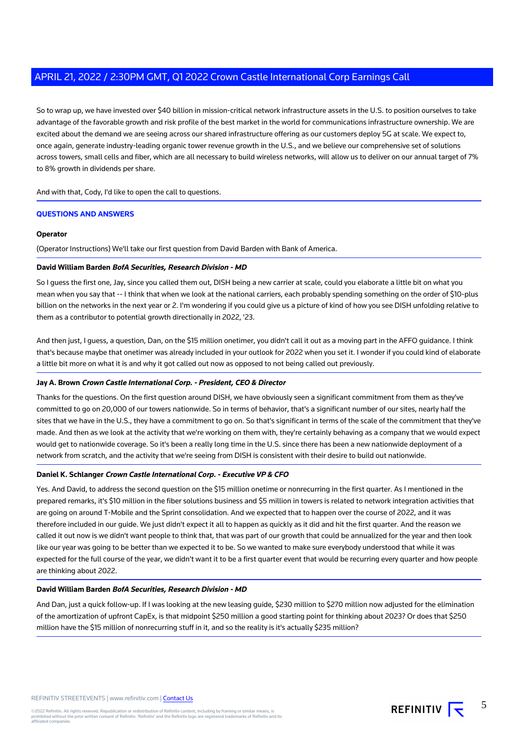So to wrap up, we have invested over \$40 billion in mission-critical network infrastructure assets in the U.S. to position ourselves to take advantage of the favorable growth and risk profile of the best market in the world for communications infrastructure ownership. We are excited about the demand we are seeing across our shared infrastructure offering as our customers deploy 5G at scale. We expect to, once again, generate industry-leading organic tower revenue growth in the U.S., and we believe our comprehensive set of solutions across towers, small cells and fiber, which are all necessary to build wireless networks, will allow us to deliver on our annual target of 7% to 8% growth in dividends per share.

And with that, Cody, I'd like to open the call to questions.

#### **QUESTIONS AND ANSWERS**

#### **Operator**

(Operator Instructions) We'll take our first question from David Barden with Bank of America.

#### **David William Barden BofA Securities, Research Division - MD**

So I guess the first one, Jay, since you called them out, DISH being a new carrier at scale, could you elaborate a little bit on what you mean when you say that -- I think that when we look at the national carriers, each probably spending something on the order of \$10-plus billion on the networks in the next year or 2. I'm wondering if you could give us a picture of kind of how you see DISH unfolding relative to them as a contributor to potential growth directionally in 2022, '23.

And then just, I guess, a question, Dan, on the \$15 million onetimer, you didn't call it out as a moving part in the AFFO guidance. I think that's because maybe that onetimer was already included in your outlook for 2022 when you set it. I wonder if you could kind of elaborate a little bit more on what it is and why it got called out now as opposed to not being called out previously.

#### **Jay A. Brown Crown Castle International Corp. - President, CEO & Director**

Thanks for the questions. On the first question around DISH, we have obviously seen a significant commitment from them as they've committed to go on 20,000 of our towers nationwide. So in terms of behavior, that's a significant number of our sites, nearly half the sites that we have in the U.S., they have a commitment to go on. So that's significant in terms of the scale of the commitment that they've made. And then as we look at the activity that we're working on them with, they're certainly behaving as a company that we would expect would get to nationwide coverage. So it's been a really long time in the U.S. since there has been a new nationwide deployment of a network from scratch, and the activity that we're seeing from DISH is consistent with their desire to build out nationwide.

#### **Daniel K. Schlanger Crown Castle International Corp. - Executive VP & CFO**

Yes. And David, to address the second question on the \$15 million onetime or nonrecurring in the first quarter. As I mentioned in the prepared remarks, it's \$10 million in the fiber solutions business and \$5 million in towers is related to network integration activities that are going on around T-Mobile and the Sprint consolidation. And we expected that to happen over the course of 2022, and it was therefore included in our guide. We just didn't expect it all to happen as quickly as it did and hit the first quarter. And the reason we called it out now is we didn't want people to think that, that was part of our growth that could be annualized for the year and then look like our year was going to be better than we expected it to be. So we wanted to make sure everybody understood that while it was expected for the full course of the year, we didn't want it to be a first quarter event that would be recurring every quarter and how people are thinking about 2022.

#### **David William Barden BofA Securities, Research Division - MD**

And Dan, just a quick follow-up. If I was looking at the new leasing guide, \$230 million to \$270 million now adjusted for the elimination of the amortization of upfront CapEx, is that midpoint \$250 million a good starting point for thinking about 2023? Or does that \$250 million have the \$15 million of nonrecurring stuff in it, and so the reality is it's actually \$235 million?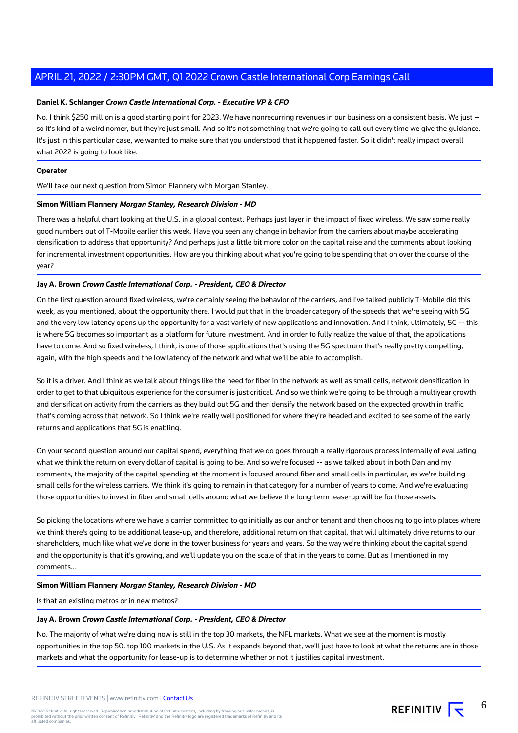#### **Daniel K. Schlanger Crown Castle International Corp. - Executive VP & CFO**

No. I think \$250 million is a good starting point for 2023. We have nonrecurring revenues in our business on a consistent basis. We just -so it's kind of a weird nomer, but they're just small. And so it's not something that we're going to call out every time we give the guidance. It's just in this particular case, we wanted to make sure that you understood that it happened faster. So it didn't really impact overall what 2022 is going to look like.

#### **Operator**

We'll take our next question from Simon Flannery with Morgan Stanley.

#### **Simon William Flannery Morgan Stanley, Research Division - MD**

There was a helpful chart looking at the U.S. in a global context. Perhaps just layer in the impact of fixed wireless. We saw some really good numbers out of T-Mobile earlier this week. Have you seen any change in behavior from the carriers about maybe accelerating densification to address that opportunity? And perhaps just a little bit more color on the capital raise and the comments about looking for incremental investment opportunities. How are you thinking about what you're going to be spending that on over the course of the year?

#### **Jay A. Brown Crown Castle International Corp. - President, CEO & Director**

On the first question around fixed wireless, we're certainly seeing the behavior of the carriers, and I've talked publicly T-Mobile did this week, as you mentioned, about the opportunity there. I would put that in the broader category of the speeds that we're seeing with 5G and the very low latency opens up the opportunity for a vast variety of new applications and innovation. And I think, ultimately, 5G -- this is where 5G becomes so important as a platform for future investment. And in order to fully realize the value of that, the applications have to come. And so fixed wireless, I think, is one of those applications that's using the 5G spectrum that's really pretty compelling, again, with the high speeds and the low latency of the network and what we'll be able to accomplish.

So it is a driver. And I think as we talk about things like the need for fiber in the network as well as small cells, network densification in order to get to that ubiquitous experience for the consumer is just critical. And so we think we're going to be through a multiyear growth and densification activity from the carriers as they build out 5G and then densify the network based on the expected growth in traffic that's coming across that network. So I think we're really well positioned for where they're headed and excited to see some of the early returns and applications that 5G is enabling.

On your second question around our capital spend, everything that we do goes through a really rigorous process internally of evaluating what we think the return on every dollar of capital is going to be. And so we're focused -- as we talked about in both Dan and my comments, the majority of the capital spending at the moment is focused around fiber and small cells in particular, as we're building small cells for the wireless carriers. We think it's going to remain in that category for a number of years to come. And we're evaluating those opportunities to invest in fiber and small cells around what we believe the long-term lease-up will be for those assets.

So picking the locations where we have a carrier committed to go initially as our anchor tenant and then choosing to go into places where we think there's going to be additional lease-up, and therefore, additional return on that capital, that will ultimately drive returns to our shareholders, much like what we've done in the tower business for years and years. So the way we're thinking about the capital spend and the opportunity is that it's growing, and we'll update you on the scale of that in the years to come. But as I mentioned in my comments...

#### **Simon William Flannery Morgan Stanley, Research Division - MD**

Is that an existing metros or in new metros?

#### **Jay A. Brown Crown Castle International Corp. - President, CEO & Director**

No. The majority of what we're doing now is still in the top 30 markets, the NFL markets. What we see at the moment is mostly opportunities in the top 50, top 100 markets in the U.S. As it expands beyond that, we'll just have to look at what the returns are in those markets and what the opportunity for lease-up is to determine whether or not it justifies capital investment.

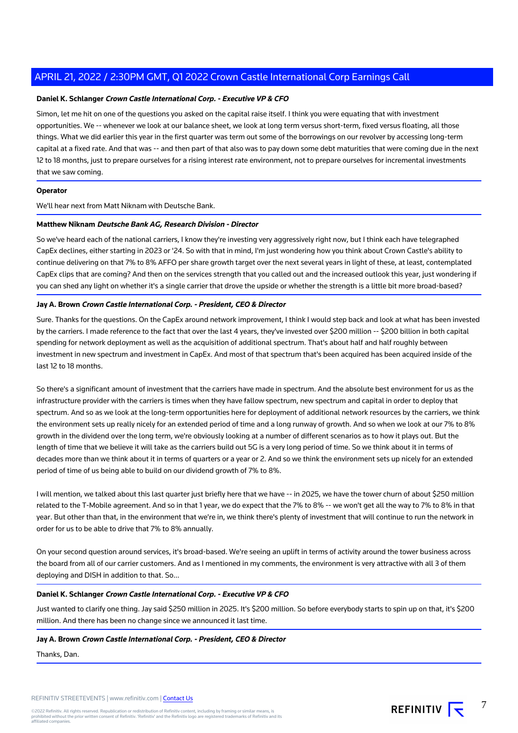#### **Daniel K. Schlanger Crown Castle International Corp. - Executive VP & CFO**

Simon, let me hit on one of the questions you asked on the capital raise itself. I think you were equating that with investment opportunities. We -- whenever we look at our balance sheet, we look at long term versus short-term, fixed versus floating, all those things. What we did earlier this year in the first quarter was term out some of the borrowings on our revolver by accessing long-term capital at a fixed rate. And that was -- and then part of that also was to pay down some debt maturities that were coming due in the next 12 to 18 months, just to prepare ourselves for a rising interest rate environment, not to prepare ourselves for incremental investments that we saw coming.

### **Operator**

We'll hear next from Matt Niknam with Deutsche Bank.

#### **Matthew Niknam Deutsche Bank AG, Research Division - Director**

So we've heard each of the national carriers, I know they're investing very aggressively right now, but I think each have telegraphed CapEx declines, either starting in 2023 or '24. So with that in mind, I'm just wondering how you think about Crown Castle's ability to continue delivering on that 7% to 8% AFFO per share growth target over the next several years in light of these, at least, contemplated CapEx clips that are coming? And then on the services strength that you called out and the increased outlook this year, just wondering if you can shed any light on whether it's a single carrier that drove the upside or whether the strength is a little bit more broad-based?

#### **Jay A. Brown Crown Castle International Corp. - President, CEO & Director**

Sure. Thanks for the questions. On the CapEx around network improvement, I think I would step back and look at what has been invested by the carriers. I made reference to the fact that over the last 4 years, they've invested over \$200 million -- \$200 billion in both capital spending for network deployment as well as the acquisition of additional spectrum. That's about half and half roughly between investment in new spectrum and investment in CapEx. And most of that spectrum that's been acquired has been acquired inside of the last 12 to 18 months.

So there's a significant amount of investment that the carriers have made in spectrum. And the absolute best environment for us as the infrastructure provider with the carriers is times when they have fallow spectrum, new spectrum and capital in order to deploy that spectrum. And so as we look at the long-term opportunities here for deployment of additional network resources by the carriers, we think the environment sets up really nicely for an extended period of time and a long runway of growth. And so when we look at our 7% to 8% growth in the dividend over the long term, we're obviously looking at a number of different scenarios as to how it plays out. But the length of time that we believe it will take as the carriers build out 5G is a very long period of time. So we think about it in terms of decades more than we think about it in terms of quarters or a year or 2. And so we think the environment sets up nicely for an extended period of time of us being able to build on our dividend growth of 7% to 8%.

I will mention, we talked about this last quarter just briefly here that we have -- in 2025, we have the tower churn of about \$250 million related to the T-Mobile agreement. And so in that 1 year, we do expect that the 7% to 8% -- we won't get all the way to 7% to 8% in that year. But other than that, in the environment that we're in, we think there's plenty of investment that will continue to run the network in order for us to be able to drive that 7% to 8% annually.

On your second question around services, it's broad-based. We're seeing an uplift in terms of activity around the tower business across the board from all of our carrier customers. And as I mentioned in my comments, the environment is very attractive with all 3 of them deploying and DISH in addition to that. So...

#### **Daniel K. Schlanger Crown Castle International Corp. - Executive VP & CFO**

Just wanted to clarify one thing. Jay said \$250 million in 2025. It's \$200 million. So before everybody starts to spin up on that, it's \$200 million. And there has been no change since we announced it last time.

#### **Jay A. Brown Crown Castle International Corp. - President, CEO & Director**

Thanks, Dan.

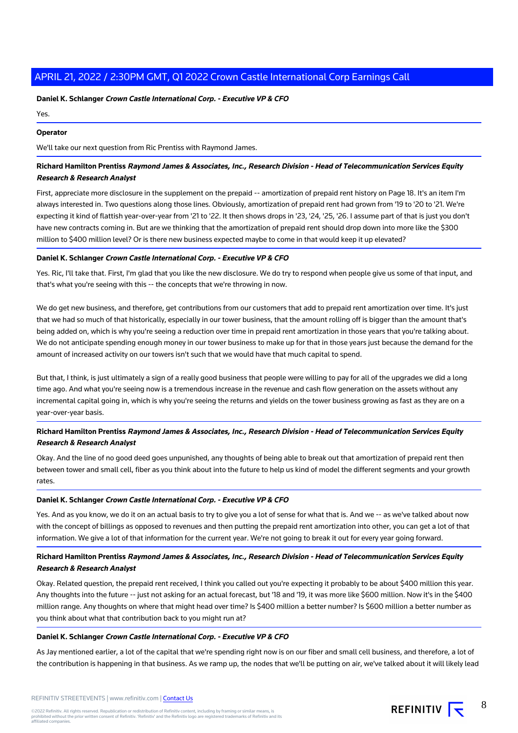#### **Daniel K. Schlanger Crown Castle International Corp. - Executive VP & CFO**

Yes.

#### **Operator**

We'll take our next question from Ric Prentiss with Raymond James.

## **Richard Hamilton Prentiss Raymond James & Associates, Inc., Research Division - Head of Telecommunication Services Equity Research & Research Analyst**

First, appreciate more disclosure in the supplement on the prepaid -- amortization of prepaid rent history on Page 18. It's an item I'm always interested in. Two questions along those lines. Obviously, amortization of prepaid rent had grown from '19 to '20 to '21. We're expecting it kind of flattish year-over-year from '21 to '22. It then shows drops in '23, '24, '25, '26. I assume part of that is just you don't have new contracts coming in. But are we thinking that the amortization of prepaid rent should drop down into more like the \$300 million to \$400 million level? Or is there new business expected maybe to come in that would keep it up elevated?

#### **Daniel K. Schlanger Crown Castle International Corp. - Executive VP & CFO**

Yes. Ric, I'll take that. First, I'm glad that you like the new disclosure. We do try to respond when people give us some of that input, and that's what you're seeing with this -- the concepts that we're throwing in now.

We do get new business, and therefore, get contributions from our customers that add to prepaid rent amortization over time. It's just that we had so much of that historically, especially in our tower business, that the amount rolling off is bigger than the amount that's being added on, which is why you're seeing a reduction over time in prepaid rent amortization in those years that you're talking about. We do not anticipate spending enough money in our tower business to make up for that in those years just because the demand for the amount of increased activity on our towers isn't such that we would have that much capital to spend.

But that, I think, is just ultimately a sign of a really good business that people were willing to pay for all of the upgrades we did a long time ago. And what you're seeing now is a tremendous increase in the revenue and cash flow generation on the assets without any incremental capital going in, which is why you're seeing the returns and yields on the tower business growing as fast as they are on a year-over-year basis.

## **Richard Hamilton Prentiss Raymond James & Associates, Inc., Research Division - Head of Telecommunication Services Equity Research & Research Analyst**

Okay. And the line of no good deed goes unpunished, any thoughts of being able to break out that amortization of prepaid rent then between tower and small cell, fiber as you think about into the future to help us kind of model the different segments and your growth rates.

#### **Daniel K. Schlanger Crown Castle International Corp. - Executive VP & CFO**

Yes. And as you know, we do it on an actual basis to try to give you a lot of sense for what that is. And we -- as we've talked about now with the concept of billings as opposed to revenues and then putting the prepaid rent amortization into other, you can get a lot of that information. We give a lot of that information for the current year. We're not going to break it out for every year going forward.

## **Richard Hamilton Prentiss Raymond James & Associates, Inc., Research Division - Head of Telecommunication Services Equity Research & Research Analyst**

Okay. Related question, the prepaid rent received, I think you called out you're expecting it probably to be about \$400 million this year. Any thoughts into the future -- just not asking for an actual forecast, but '18 and '19, it was more like \$600 million. Now it's in the \$400 million range. Any thoughts on where that might head over time? Is \$400 million a better number? Is \$600 million a better number as you think about what that contribution back to you might run at?

#### **Daniel K. Schlanger Crown Castle International Corp. - Executive VP & CFO**

As Jay mentioned earlier, a lot of the capital that we're spending right now is on our fiber and small cell business, and therefore, a lot of the contribution is happening in that business. As we ramp up, the nodes that we'll be putting on air, we've talked about it will likely lead

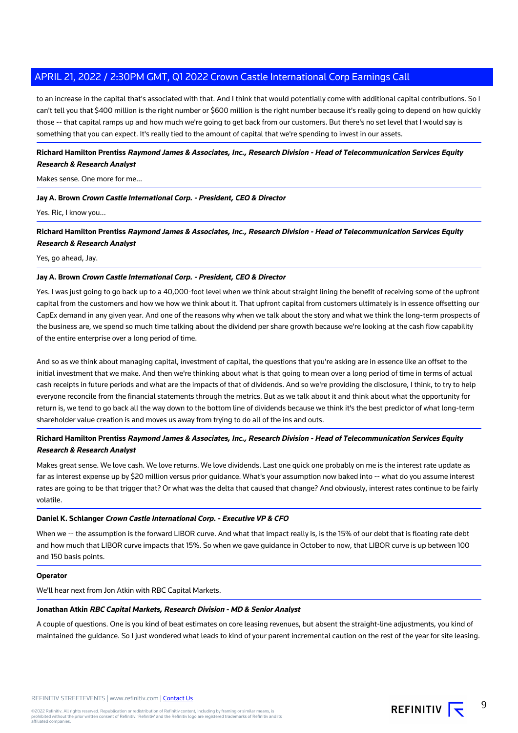to an increase in the capital that's associated with that. And I think that would potentially come with additional capital contributions. So I can't tell you that \$400 million is the right number or \$600 million is the right number because it's really going to depend on how quickly those -- that capital ramps up and how much we're going to get back from our customers. But there's no set level that I would say is something that you can expect. It's really tied to the amount of capital that we're spending to invest in our assets.

## **Richard Hamilton Prentiss Raymond James & Associates, Inc., Research Division - Head of Telecommunication Services Equity Research & Research Analyst**

#### Makes sense. One more for me...

#### **Jay A. Brown Crown Castle International Corp. - President, CEO & Director**

Yes. Ric, I know you...

**Richard Hamilton Prentiss Raymond James & Associates, Inc., Research Division - Head of Telecommunication Services Equity Research & Research Analyst**

#### Yes, go ahead, Jay.

#### **Jay A. Brown Crown Castle International Corp. - President, CEO & Director**

Yes. I was just going to go back up to a 40,000-foot level when we think about straight lining the benefit of receiving some of the upfront capital from the customers and how we how we think about it. That upfront capital from customers ultimately is in essence offsetting our CapEx demand in any given year. And one of the reasons why when we talk about the story and what we think the long-term prospects of the business are, we spend so much time talking about the dividend per share growth because we're looking at the cash flow capability of the entire enterprise over a long period of time.

And so as we think about managing capital, investment of capital, the questions that you're asking are in essence like an offset to the initial investment that we make. And then we're thinking about what is that going to mean over a long period of time in terms of actual cash receipts in future periods and what are the impacts of that of dividends. And so we're providing the disclosure, I think, to try to help everyone reconcile from the financial statements through the metrics. But as we talk about it and think about what the opportunity for return is, we tend to go back all the way down to the bottom line of dividends because we think it's the best predictor of what long-term shareholder value creation is and moves us away from trying to do all of the ins and outs.

## **Richard Hamilton Prentiss Raymond James & Associates, Inc., Research Division - Head of Telecommunication Services Equity Research & Research Analyst**

Makes great sense. We love cash. We love returns. We love dividends. Last one quick one probably on me is the interest rate update as far as interest expense up by \$20 million versus prior guidance. What's your assumption now baked into -- what do you assume interest rates are going to be that trigger that? Or what was the delta that caused that change? And obviously, interest rates continue to be fairly volatile.

#### **Daniel K. Schlanger Crown Castle International Corp. - Executive VP & CFO**

When we -- the assumption is the forward LIBOR curve. And what that impact really is, is the 15% of our debt that is floating rate debt and how much that LIBOR curve impacts that 15%. So when we gave guidance in October to now, that LIBOR curve is up between 100 and 150 basis points.

## **Operator**

We'll hear next from Jon Atkin with RBC Capital Markets.

#### **Jonathan Atkin RBC Capital Markets, Research Division - MD & Senior Analyst**

A couple of questions. One is you kind of beat estimates on core leasing revenues, but absent the straight-line adjustments, you kind of maintained the guidance. So I just wondered what leads to kind of your parent incremental caution on the rest of the year for site leasing.

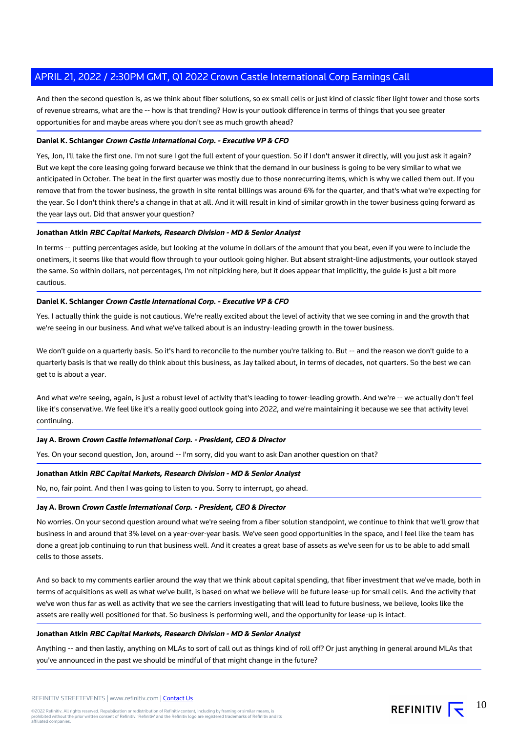And then the second question is, as we think about fiber solutions, so ex small cells or just kind of classic fiber light tower and those sorts of revenue streams, what are the -- how is that trending? How is your outlook difference in terms of things that you see greater opportunities for and maybe areas where you don't see as much growth ahead?

#### **Daniel K. Schlanger Crown Castle International Corp. - Executive VP & CFO**

Yes, Jon, I'll take the first one. I'm not sure I got the full extent of your question. So if I don't answer it directly, will you just ask it again? But we kept the core leasing going forward because we think that the demand in our business is going to be very similar to what we anticipated in October. The beat in the first quarter was mostly due to those nonrecurring items, which is why we called them out. If you remove that from the tower business, the growth in site rental billings was around 6% for the quarter, and that's what we're expecting for the year. So I don't think there's a change in that at all. And it will result in kind of similar growth in the tower business going forward as the year lays out. Did that answer your question?

#### **Jonathan Atkin RBC Capital Markets, Research Division - MD & Senior Analyst**

In terms -- putting percentages aside, but looking at the volume in dollars of the amount that you beat, even if you were to include the onetimers, it seems like that would flow through to your outlook going higher. But absent straight-line adjustments, your outlook stayed the same. So within dollars, not percentages, I'm not nitpicking here, but it does appear that implicitly, the guide is just a bit more cautious.

#### **Daniel K. Schlanger Crown Castle International Corp. - Executive VP & CFO**

Yes. I actually think the guide is not cautious. We're really excited about the level of activity that we see coming in and the growth that we're seeing in our business. And what we've talked about is an industry-leading growth in the tower business.

We don't guide on a quarterly basis. So it's hard to reconcile to the number you're talking to. But -- and the reason we don't guide to a quarterly basis is that we really do think about this business, as Jay talked about, in terms of decades, not quarters. So the best we can get to is about a year.

And what we're seeing, again, is just a robust level of activity that's leading to tower-leading growth. And we're -- we actually don't feel like it's conservative. We feel like it's a really good outlook going into 2022, and we're maintaining it because we see that activity level continuing.

#### **Jay A. Brown Crown Castle International Corp. - President, CEO & Director**

Yes. On your second question, Jon, around -- I'm sorry, did you want to ask Dan another question on that?

#### **Jonathan Atkin RBC Capital Markets, Research Division - MD & Senior Analyst**

No, no, fair point. And then I was going to listen to you. Sorry to interrupt, go ahead.

#### **Jay A. Brown Crown Castle International Corp. - President, CEO & Director**

No worries. On your second question around what we're seeing from a fiber solution standpoint, we continue to think that we'll grow that business in and around that 3% level on a year-over-year basis. We've seen good opportunities in the space, and I feel like the team has done a great job continuing to run that business well. And it creates a great base of assets as we've seen for us to be able to add small cells to those assets.

And so back to my comments earlier around the way that we think about capital spending, that fiber investment that we've made, both in terms of acquisitions as well as what we've built, is based on what we believe will be future lease-up for small cells. And the activity that we've won thus far as well as activity that we see the carriers investigating that will lead to future business, we believe, looks like the assets are really well positioned for that. So business is performing well, and the opportunity for lease-up is intact.

#### **Jonathan Atkin RBC Capital Markets, Research Division - MD & Senior Analyst**

Anything -- and then lastly, anything on MLAs to sort of call out as things kind of roll off? Or just anything in general around MLAs that you've announced in the past we should be mindful of that might change in the future?

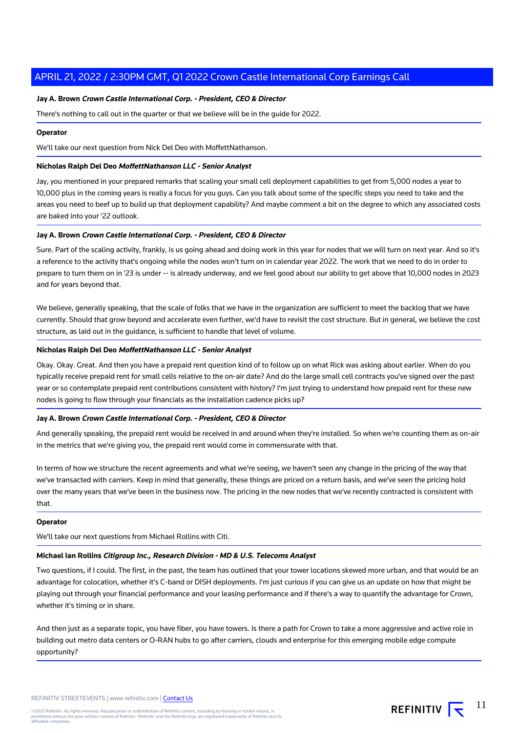#### **Jay A. Brown Crown Castle International Corp. - President, CEO & Director**

There's nothing to call out in the quarter or that we believe will be in the guide for 2022.

#### **Operator**

We'll take our next question from Nick Del Deo with MoffettNathanson.

#### **Nicholas Ralph Del Deo MoffettNathanson LLC - Senior Analyst**

Jay, you mentioned in your prepared remarks that scaling your small cell deployment capabilities to get from 5,000 nodes a year to 10,000 plus in the coming years is really a focus for you guys. Can you talk about some of the specific steps you need to take and the areas you need to beef up to build up that deployment capability? And maybe comment a bit on the degree to which any associated costs are baked into your '22 outlook.

#### **Jay A. Brown Crown Castle International Corp. - President, CEO & Director**

Sure. Part of the scaling activity, frankly, is us going ahead and doing work in this year for nodes that we will turn on next year. And so it's a reference to the activity that's ongoing while the nodes won't turn on in calendar year 2022. The work that we need to do in order to prepare to turn them on in '23 is under -- is already underway, and we feel good about our ability to get above that 10,000 nodes in 2023 and for years beyond that.

We believe, generally speaking, that the scale of folks that we have in the organization are sufficient to meet the backlog that we have currently. Should that grow beyond and accelerate even further, we'd have to revisit the cost structure. But in general, we believe the cost structure, as laid out in the guidance, is sufficient to handle that level of volume.

#### **Nicholas Ralph Del Deo MoffettNathanson LLC - Senior Analyst**

Okay. Okay. Great. And then you have a prepaid rent question kind of to follow up on what Rick was asking about earlier. When do you typically receive prepaid rent for small cells relative to the on-air date? And do the large small cell contracts you've signed over the past year or so contemplate prepaid rent contributions consistent with history? I'm just trying to understand how prepaid rent for these new nodes is going to flow through your financials as the installation cadence picks up?

#### **Jay A. Brown Crown Castle International Corp. - President, CEO & Director**

And generally speaking, the prepaid rent would be received in and around when they're installed. So when we're counting them as on-air in the metrics that we're giving you, the prepaid rent would come in commensurate with that.

In terms of how we structure the recent agreements and what we're seeing, we haven't seen any change in the pricing of the way that we've transacted with carriers. Keep in mind that generally, these things are priced on a return basis, and we've seen the pricing hold over the many years that we've been in the business now. The pricing in the new nodes that we've recently contracted is consistent with that.

#### **Operator**

We'll take our next questions from Michael Rollins with Citi.

#### **Michael Ian Rollins Citigroup Inc., Research Division - MD & U.S. Telecoms Analyst**

Two questions, if I could. The first, in the past, the team has outlined that your tower locations skewed more urban, and that would be an advantage for colocation, whether it's C-band or DISH deployments. I'm just curious if you can give us an update on how that might be playing out through your financial performance and your leasing performance and if there's a way to quantify the advantage for Crown, whether it's timing or in share.

And then just as a separate topic, you have fiber, you have towers. Is there a path for Crown to take a more aggressive and active role in building out metro data centers or O-RAN hubs to go after carriers, clouds and enterprise for this emerging mobile edge compute opportunity?

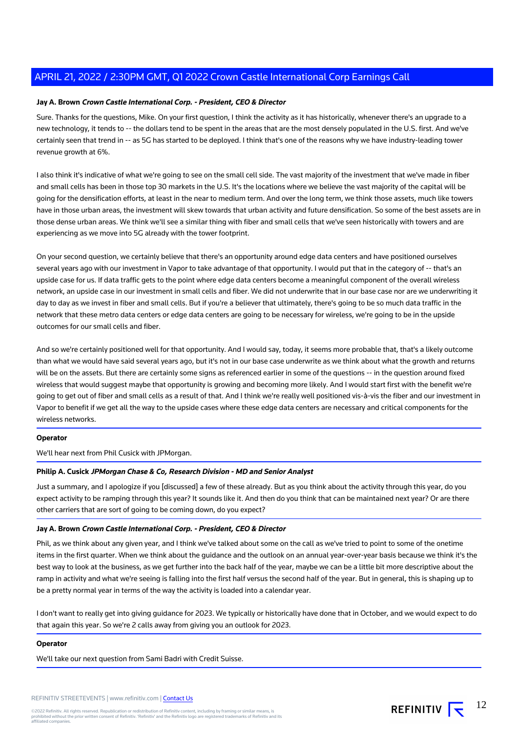#### **Jay A. Brown Crown Castle International Corp. - President, CEO & Director**

Sure. Thanks for the questions, Mike. On your first question, I think the activity as it has historically, whenever there's an upgrade to a new technology, it tends to -- the dollars tend to be spent in the areas that are the most densely populated in the U.S. first. And we've certainly seen that trend in -- as 5G has started to be deployed. I think that's one of the reasons why we have industry-leading tower revenue growth at 6%.

I also think it's indicative of what we're going to see on the small cell side. The vast majority of the investment that we've made in fiber and small cells has been in those top 30 markets in the U.S. It's the locations where we believe the vast majority of the capital will be going for the densification efforts, at least in the near to medium term. And over the long term, we think those assets, much like towers have in those urban areas, the investment will skew towards that urban activity and future densification. So some of the best assets are in those dense urban areas. We think we'll see a similar thing with fiber and small cells that we've seen historically with towers and are experiencing as we move into 5G already with the tower footprint.

On your second question, we certainly believe that there's an opportunity around edge data centers and have positioned ourselves several years ago with our investment in Vapor to take advantage of that opportunity. I would put that in the category of -- that's an upside case for us. If data traffic gets to the point where edge data centers become a meaningful component of the overall wireless network, an upside case in our investment in small cells and fiber. We did not underwrite that in our base case nor are we underwriting it day to day as we invest in fiber and small cells. But if you're a believer that ultimately, there's going to be so much data traffic in the network that these metro data centers or edge data centers are going to be necessary for wireless, we're going to be in the upside outcomes for our small cells and fiber.

And so we're certainly positioned well for that opportunity. And I would say, today, it seems more probable that, that's a likely outcome than what we would have said several years ago, but it's not in our base case underwrite as we think about what the growth and returns will be on the assets. But there are certainly some signs as referenced earlier in some of the questions -- in the question around fixed wireless that would suggest maybe that opportunity is growing and becoming more likely. And I would start first with the benefit we're going to get out of fiber and small cells as a result of that. And I think we're really well positioned vis-à-vis the fiber and our investment in Vapor to benefit if we get all the way to the upside cases where these edge data centers are necessary and critical components for the wireless networks.

#### **Operator**

We'll hear next from Phil Cusick with JPMorgan.

#### **Philip A. Cusick JPMorgan Chase & Co, Research Division - MD and Senior Analyst**

Just a summary, and I apologize if you [discussed] a few of these already. But as you think about the activity through this year, do you expect activity to be ramping through this year? It sounds like it. And then do you think that can be maintained next year? Or are there other carriers that are sort of going to be coming down, do you expect?

#### **Jay A. Brown Crown Castle International Corp. - President, CEO & Director**

Phil, as we think about any given year, and I think we've talked about some on the call as we've tried to point to some of the onetime items in the first quarter. When we think about the guidance and the outlook on an annual year-over-year basis because we think it's the best way to look at the business, as we get further into the back half of the year, maybe we can be a little bit more descriptive about the ramp in activity and what we're seeing is falling into the first half versus the second half of the year. But in general, this is shaping up to be a pretty normal year in terms of the way the activity is loaded into a calendar year.

I don't want to really get into giving guidance for 2023. We typically or historically have done that in October, and we would expect to do that again this year. So we're 2 calls away from giving you an outlook for 2023.

#### **Operator**

We'll take our next question from Sami Badri with Credit Suisse.

REFINITIV  $\overline{\mathbf{t}}$ 12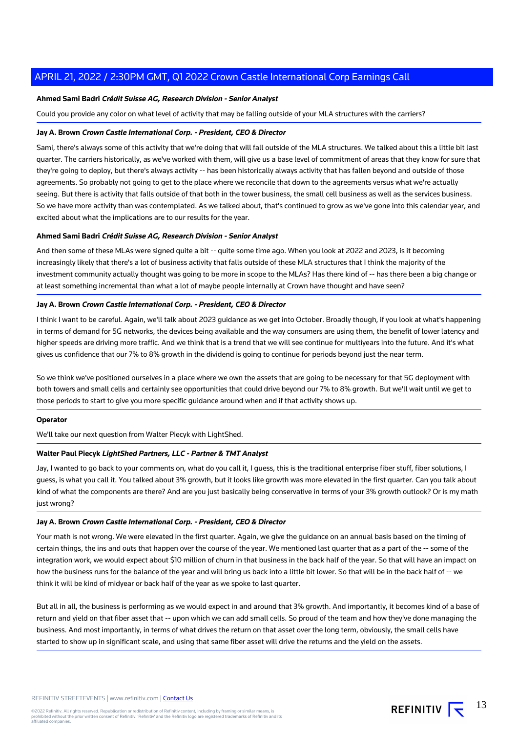#### **Ahmed Sami Badri Crédit Suisse AG, Research Division - Senior Analyst**

Could you provide any color on what level of activity that may be falling outside of your MLA structures with the carriers?

#### **Jay A. Brown Crown Castle International Corp. - President, CEO & Director**

Sami, there's always some of this activity that we're doing that will fall outside of the MLA structures. We talked about this a little bit last quarter. The carriers historically, as we've worked with them, will give us a base level of commitment of areas that they know for sure that they're going to deploy, but there's always activity -- has been historically always activity that has fallen beyond and outside of those agreements. So probably not going to get to the place where we reconcile that down to the agreements versus what we're actually seeing. But there is activity that falls outside of that both in the tower business, the small cell business as well as the services business. So we have more activity than was contemplated. As we talked about, that's continued to grow as we've gone into this calendar year, and excited about what the implications are to our results for the year.

#### **Ahmed Sami Badri Crédit Suisse AG, Research Division - Senior Analyst**

And then some of these MLAs were signed quite a bit -- quite some time ago. When you look at 2022 and 2023, is it becoming increasingly likely that there's a lot of business activity that falls outside of these MLA structures that I think the majority of the investment community actually thought was going to be more in scope to the MLAs? Has there kind of -- has there been a big change or at least something incremental than what a lot of maybe people internally at Crown have thought and have seen?

#### **Jay A. Brown Crown Castle International Corp. - President, CEO & Director**

I think I want to be careful. Again, we'll talk about 2023 guidance as we get into October. Broadly though, if you look at what's happening in terms of demand for 5G networks, the devices being available and the way consumers are using them, the benefit of lower latency and higher speeds are driving more traffic. And we think that is a trend that we will see continue for multiyears into the future. And it's what gives us confidence that our 7% to 8% growth in the dividend is going to continue for periods beyond just the near term.

So we think we've positioned ourselves in a place where we own the assets that are going to be necessary for that 5G deployment with both towers and small cells and certainly see opportunities that could drive beyond our 7% to 8% growth. But we'll wait until we get to those periods to start to give you more specific guidance around when and if that activity shows up.

#### **Operator**

We'll take our next question from Walter Piecyk with LightShed.

#### **Walter Paul Piecyk LightShed Partners, LLC - Partner & TMT Analyst**

Jay, I wanted to go back to your comments on, what do you call it, I guess, this is the traditional enterprise fiber stuff, fiber solutions, I guess, is what you call it. You talked about 3% growth, but it looks like growth was more elevated in the first quarter. Can you talk about kind of what the components are there? And are you just basically being conservative in terms of your 3% growth outlook? Or is my math just wrong?

#### **Jay A. Brown Crown Castle International Corp. - President, CEO & Director**

Your math is not wrong. We were elevated in the first quarter. Again, we give the guidance on an annual basis based on the timing of certain things, the ins and outs that happen over the course of the year. We mentioned last quarter that as a part of the -- some of the integration work, we would expect about \$10 million of churn in that business in the back half of the year. So that will have an impact on how the business runs for the balance of the year and will bring us back into a little bit lower. So that will be in the back half of -- we think it will be kind of midyear or back half of the year as we spoke to last quarter.

But all in all, the business is performing as we would expect in and around that 3% growth. And importantly, it becomes kind of a base of return and yield on that fiber asset that -- upon which we can add small cells. So proud of the team and how they've done managing the business. And most importantly, in terms of what drives the return on that asset over the long term, obviously, the small cells have started to show up in significant scale, and using that same fiber asset will drive the returns and the yield on the assets.

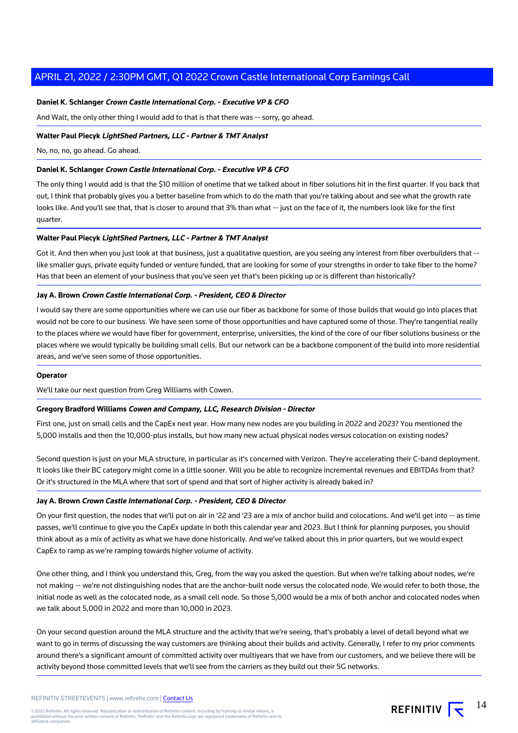#### **Daniel K. Schlanger Crown Castle International Corp. - Executive VP & CFO**

And Walt, the only other thing I would add to that is that there was -- sorry, go ahead.

#### **Walter Paul Piecyk LightShed Partners, LLC - Partner & TMT Analyst**

No, no, no, go ahead. Go ahead.

#### **Daniel K. Schlanger Crown Castle International Corp. - Executive VP & CFO**

The only thing I would add is that the \$10 million of onetime that we talked about in fiber solutions hit in the first quarter. If you back that out, I think that probably gives you a better baseline from which to do the math that you're talking about and see what the growth rate looks like. And you'll see that, that is closer to around that 3% than what -- just on the face of it, the numbers look like for the first quarter.

#### **Walter Paul Piecyk LightShed Partners, LLC - Partner & TMT Analyst**

Got it. And then when you just look at that business, just a qualitative question, are you seeing any interest from fiber overbuilders that -like smaller guys, private equity funded or venture funded, that are looking for some of your strengths in order to take fiber to the home? Has that been an element of your business that you've seen yet that's been picking up or is different than historically?

#### **Jay A. Brown Crown Castle International Corp. - President, CEO & Director**

I would say there are some opportunities where we can use our fiber as backbone for some of those builds that would go into places that would not be core to our business. We have seen some of those opportunities and have captured some of those. They're tangential really to the places where we would have fiber for government, enterprise, universities, the kind of the core of our fiber solutions business or the places where we would typically be building small cells. But our network can be a backbone component of the build into more residential areas, and we've seen some of those opportunities.

#### **Operator**

We'll take our next question from Greg Williams with Cowen.

#### **Gregory Bradford Williams Cowen and Company, LLC, Research Division - Director**

First one, just on small cells and the CapEx next year. How many new nodes are you building in 2022 and 2023? You mentioned the 5,000 installs and then the 10,000-plus installs, but how many new actual physical nodes versus colocation on existing nodes?

Second question is just on your MLA structure, in particular as it's concerned with Verizon. They're accelerating their C-band deployment. It looks like their BC category might come in a little sooner. Will you be able to recognize incremental revenues and EBITDAs from that? Or it's structured in the MLA where that sort of spend and that sort of higher activity is already baked in?

#### **Jay A. Brown Crown Castle International Corp. - President, CEO & Director**

On your first question, the nodes that we'll put on air in '22 and '23 are a mix of anchor build and colocations. And we'll get into -- as time passes, we'll continue to give you the CapEx update in both this calendar year and 2023. But I think for planning purposes, you should think about as a mix of activity as what we have done historically. And we've talked about this in prior quarters, but we would expect CapEx to ramp as we're ramping towards higher volume of activity.

One other thing, and I think you understand this, Greg, from the way you asked the question. But when we're talking about nodes, we're not making -- we're not distinguishing nodes that are the anchor-built node versus the colocated node. We would refer to both those, the initial node as well as the colocated node, as a small cell node. So those 5,000 would be a mix of both anchor and colocated nodes when we talk about 5,000 in 2022 and more than 10,000 in 2023.

On your second question around the MLA structure and the activity that we're seeing, that's probably a level of detail beyond what we want to go in terms of discussing the way customers are thinking about their builds and activity. Generally, I refer to my prior comments around there's a significant amount of committed activity over multiyears that we have from our customers, and we believe there will be activity beyond those committed levels that we'll see from the carriers as they build out their 5G networks.

REFINITIV  $\overline{\mathbf{S}}$  <sup>14</sup>

©2022 Refinitiv. All rights reserved. Republication or redistribution of Refinitiv content, including by framing or similar means, is<br>prohibited without the prior written consent of Refinitiv. 'Refinitiv' and the Refinitiv affiliated companies.